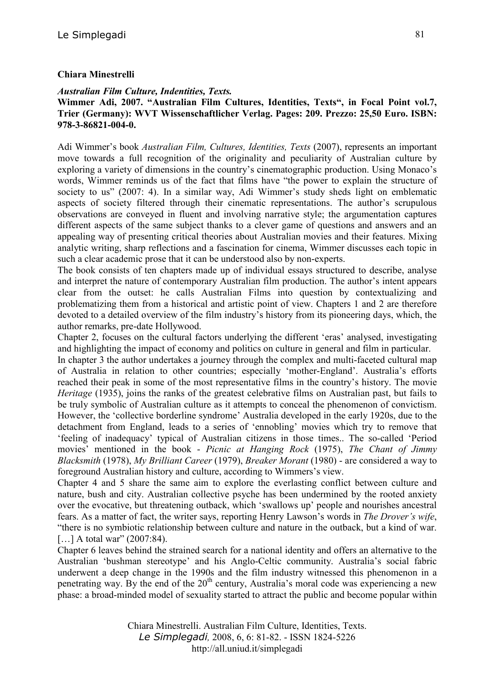## **Chiara Minestrelli**

## *Australian Film Culture, Indentities, Texts.*

## **Wimmer Adi, 2007. "Australian Film Cultures, Identities, Texts", in Focal Point vol.7, Trier (Germany): WVT Wissenschaftlicher Verlag. Pages: 209. Prezzo: 25,50 Euro. ISBN: 978-3-86821-004-0.**

Adi Wimmer's book *Australian Film, Cultures, Identities, Texts* (2007), represents an important move towards a full recognition of the originality and peculiarity of Australian culture by exploring a variety of dimensions in the country's cinematographic production. Using Monaco's words, Wimmer reminds us of the fact that films have "the power to explain the structure of society to us" (2007: 4). In a similar way, Adi Wimmer's study sheds light on emblematic aspects of society filtered through their cinematic representations. The author's scrupulous observations are conveyed in fluent and involving narrative style; the argumentation captures different aspects of the same subject thanks to a clever game of questions and answers and an appealing way of presenting critical theories about Australian movies and their features. Mixing analytic writing, sharp reflections and a fascination for cinema, Wimmer discusses each topic in such a clear academic prose that it can be understood also by non-experts.

The book consists of ten chapters made up of individual essays structured to describe, analyse and interpret the nature of contemporary Australian film production. The author's intent appears clear from the outset: he calls Australian Films into question by contextualizing and problematizing them from a historical and artistic point of view. Chapters 1 and 2 are therefore devoted to a detailed overview of the film industry's history from its pioneering days, which, the author remarks, pre-date Hollywood.

Chapter 2, focuses on the cultural factors underlying the different 'eras' analysed, investigating and highlighting the impact of economy and politics on culture in general and film in particular.

In chapter 3 the author undertakes a journey through the complex and multi-faceted cultural map of Australia in relation to other countries; especially 'mother-England'. Australia's efforts reached their peak in some of the most representative films in the country's history. The movie *Heritage* (1935), joins the ranks of the greatest celebrative films on Australian past, but fails to be truly symbolic of Australian culture as it attempts to conceal the phenomenon of convictism. However, the 'collective borderline syndrome' Australia developed in the early 1920s, due to the detachment from England, leads to a series of 'ennobling' movies which try to remove that 'feeling of inadequacy' typical of Australian citizens in those times.. The so-called 'Period movies' mentioned in the book - *Picnic at Hanging Rock* (1975), *The Chant of Jimmy Blacksmith* (1978), *My Brilliant Career* (1979), *Breaker Morant* (1980) - are considered a way to foreground Australian history and culture, according to Wimmers's view.

Chapter 4 and 5 share the same aim to explore the everlasting conflict between culture and nature, bush and city. Australian collective psyche has been undermined by the rooted anxiety over the evocative, but threatening outback, which 'swallows up' people and nourishes ancestral fears. As a matter of fact, the writer says, reporting Henry Lawson's words in *The Drover's wife*, "there is no symbiotic relationship between culture and nature in the outback, but a kind of war. [...] A total war" (2007:84).

Chapter 6 leaves behind the strained search for a national identity and offers an alternative to the Australian 'bushman stereotype' and his Anglo-Celtic community. Australia's social fabric underwent a deep change in the 1990s and the film industry witnessed this phenomenon in a penetrating way. By the end of the  $20<sup>th</sup>$  century, Australia's moral code was experiencing a new phase: a broad-minded model of sexuality started to attract the public and become popular within

> Chiara Minestrelli. Australian Film Culture, Identities, Texts. *Le Simplegadi,* 2008, 6, 6: 81-82. - ISSN 1824-5226 http://all.uniud.it/simplegadi